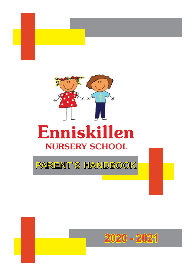



# Enniskillen **NURSERY SCHOOL**

PARENT'S HANDBOOK

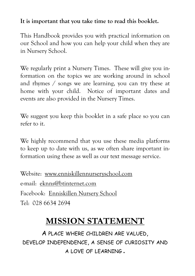#### **It is important that you take time to read this booklet.**

This Handbook provides you with practical information on our School and how you can help your child when they are in Nursery School.

We regularly print a Nursery Times. These will give you information on the topics we are working around in school and rhymes / songs we are learning, you can try these at home with your child. Notice of important dates and events are also provided in the Nursery Times.

We suggest you keep this booklet in a safe place so you can refer to it.

We highly recommend that you use these media platforms to keep up to date with us, as we often share important information using these as well as our text message service.

Website: www.enniskillennurseryschool.com e-mail: eknns@btinternet.com Facebook: Enniskillen Nursery School Tel: 028 6634 2694

# **MISSION STATEMENT**

A PLACE WHERE CHILDREN ARE VALUED, DEVELOP INDEPENDENCE, A SENSE OF CURIOSITY AND A LOVE OF LEARNING **.**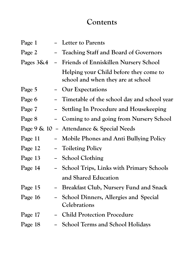#### **Contents**

| Page 1                                   |  | - Letter to Parents                                                          |  |
|------------------------------------------|--|------------------------------------------------------------------------------|--|
| Page 2                                   |  | Teaching Staff and Board of Governors                                        |  |
| Pages $3\&4$<br>$\overline{\phantom{0}}$ |  | Friends of Enniskillen Nursery School                                        |  |
|                                          |  | Helping your Child before they come to<br>school and when they are at school |  |
| Page 5                                   |  | Our Expectations                                                             |  |
| Page 6                                   |  | Timetable of the school day and school year                                  |  |
| Page 7                                   |  | Settling In Procedure and Housekeeping                                       |  |
| Page 8                                   |  | Coming to and going from Nursery School                                      |  |
|                                          |  | Page 9 & 10 - Attendance & Special Needs                                     |  |
| Page 11                                  |  | <b>Mobile Phones and Anti Bullying Policy</b>                                |  |
| Page 12                                  |  | <b>Toileting Policy</b>                                                      |  |
| Page 13                                  |  | <b>School Clothing</b>                                                       |  |
| Page 14                                  |  | <b>School Trips, Links with Primary Schools</b>                              |  |
|                                          |  | and Shared Education                                                         |  |
| Page 15                                  |  | <b>Breakfast Club, Nursery Fund and Snack</b>                                |  |
| Page 16                                  |  | School Dinners, Allergies and Special<br>Celebrations                        |  |
| Page 17                                  |  | <b>Child Protection Procedure</b>                                            |  |
| Page 18                                  |  | <b>School Terms and School Holidays</b>                                      |  |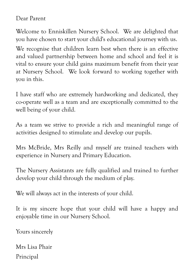Dear Parent

Welcome to Enniskillen Nursery School. We are delighted that you have chosen to start your child's educational journey with us.

We recognise that children learn best when there is an effective and valued partnership between home and school and feel it is vital to ensure your child gains maximum benefit from their year at Nursery School. We look forward to working together with you in this.

I have staff who are extremely hardworking and dedicated, they co-operate well as a team and are exceptionally committed to the well being of your child.

As a team we strive to provide a rich and meaningful range of activities designed to stimulate and develop our pupils.

Mrs McBride, Mrs Reilly and myself are trained teachers with experience in Nursery and Primary Education.

The Nursery Assistants are fully qualified and trained to further develop your child through the medium of play.

We will always act in the interests of your child.

It is my sincere hope that your child will have a happy and enjoyable time in our Nursery School.

Yours sincerely

Mrs Lisa Phair Principal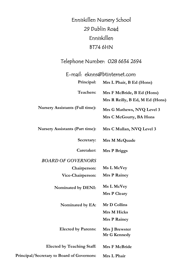#### Enniskillen Nursery School 29 Dublin Road Enniskillen BT74 6HN

#### Telephone Number: 028 6634 2694

#### E-mail: eknns@btinternet.com

| Principal:                                 | Mrs L Phair, B Ed (Hons)                                      |
|--------------------------------------------|---------------------------------------------------------------|
| Teachers:                                  | Mrs F McBride, B Ed (Hons)<br>Mrs R Reilly, B Ed, M Ed (Hons) |
| <b>Nursery Assistants (Full time):</b>     | Mrs G Mathews, NVQ Level 3<br>Mrs C McGourty, BA Hons         |
| <b>Nursery Assistants (Part time):</b>     | Mrs C Mullan, NVQ Level 3                                     |
| Secretary:                                 | Mrs M McQuade                                                 |
| Caretaker:                                 | <b>Mrs P Briggs</b>                                           |
| <b>BOARD OF GOVERNORS</b>                  |                                                               |
| Chairperson:                               | Ms L McVey                                                    |
| Vice-Chairperson:                          | <b>Mrs P Rainey</b>                                           |
| Nominated by DENI:                         | Ms L McVey                                                    |
|                                            | <b>Mrs P Cleary</b>                                           |
| Nominated by EA:                           | Mr D Collins                                                  |
|                                            | <b>Mrs M Hicks</b>                                            |
|                                            | <b>Mrs P Rainey</b>                                           |
| <b>Elected by Parents:</b>                 | Mrs J Brewster<br>Mr G Kennedy                                |
| <b>Elected by Teaching Staff:</b>          | <b>Mrs F McBride</b>                                          |
| Principal/Secretary to Board of Governors: | Mrs L Phair                                                   |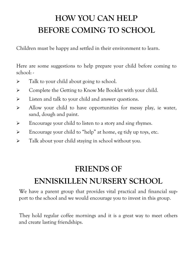# **HOW YOU CAN HELP BEFORE COMING TO SCHOOL**

Children must be happy and settled in their environment to learn.

Here are some suggestions to help prepare your child before coming to school: -

- $\triangleright$  Talk to your child about going to school.
- $\triangleright$  Complete the Getting to Know Me Booklet with your child.
- Eisten and talk to your child and answer questions.
- $\triangleright$  Allow your child to have opportunities for messy play, ie water, sand, dough and paint.
- $\triangleright$  Encourage your child to listen to a story and sing rhymes.
- $\triangleright$  Encourage your child to "help" at home, eg tidy up toys, etc.
- $\triangleright$  Talk about your child staying in school without you.

#### **FRIENDS OF**

### **ENNISKILLEN NURSERY SCHOOL**

We have a parent group that provides vital practical and financial support to the school and we would encourage you to invest in this group.

They hold regular coffee mornings and it is a great way to meet others and create lasting friendships.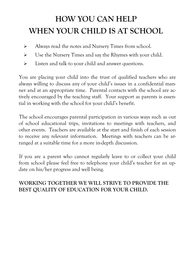# **HOW YOU CAN HELP WHEN YOUR CHILD IS AT SCHOOL**

- > Always read the notes and Nursery Times from school.
- $\triangleright$  Use the Nursery Times and say the Rhymes with your child.
- $\triangleright$  Listen and talk to your child and answer questions.

You are placing your child into the trust of qualified teachers who are always willing to discuss any of your child's issues in a confidential manner and at an appropriate time. Parental contacts with the school are actively encouraged by the teaching staff. Your support as parents is essential in working with the school for your child's benefit.

The school encourages parental participation in various ways such as out of school educational trips, invitations to meetings with teachers, and other events. Teachers are available at the start and finish of each session to receive any relevant information. Meetings with teachers can be arranged at a suitable time for a more in-depth discussion.

If you are a parent who cannot regularly leave to or collect your child from school please feel free to telephone your child's teacher for an update on his/her progress and well being.

#### **WORKING TOGETHER WE WILL STRIVE TO PROVIDE THE BEST QUALITY OF EDUCATION FOR YOUR CHILD.**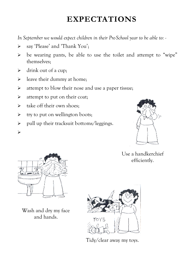### **EXPECTATIONS**

*In September we would expect children in their Pre-School year to be able to: -* 

- say 'Please' and 'Thank You';
- $\triangleright$  be wearing pants, be able to use the toilet and attempt to "wipe" themselves;
- $\triangleright$  drink out of a cup:
- $\blacktriangleright$  leave their dummy at home;
- $\triangleright$  attempt to blow their nose and use a paper tissue;
- $\triangleright$  attempt to put on their coat;
- $\triangleright$  take off their own shoes;
- $\triangleright$  try to put on wellington boots;
- $\triangleright$  pull up their tracksuit bottoms/leggings.



Use a handkerchief efficiently.



 $\blacktriangleright$ 

Wash and dry my face and hands.



Tidy/clear away my toys.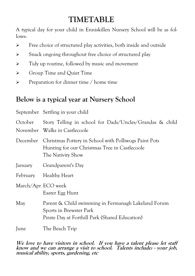### **TIMETABLE**

A typical day for your child in Enniskillen Nursery School will be as follows:

- $\triangleright$  Free choice of structured play activities, both inside and outside
- $\triangleright$  Snack ongoing throughout free choice of structured play
- $\triangleright$  Tidy up routine, followed by music and movement
- Section Croup Time and Quiet Time
- $\triangleright$  Preparation for dinner time / home time

#### **Below is a typical year at Nursery School**

|                    | September Settling in your child                                                                                                 |
|--------------------|----------------------------------------------------------------------------------------------------------------------------------|
| October            | Story Telling in school for Dads/Uncles/Grandas & child<br>November Walks in Castlecoole                                         |
| December           | Christmas Pottery in School with Polliwogs Paint Pots<br>Hunting for our Christmas Tree in Castlecoole<br>The Nativity Show      |
| January            | Grandparent's Day                                                                                                                |
|                    | February Healthy Heart                                                                                                           |
| March/Apr ECO week | Easter Egg Hunt                                                                                                                  |
| May                | Parent & Child swimming in Fermanagh Lakeland Forum<br>Sports in Brewster Park<br>Pirate Day at Forthill Park (Shared Education) |
| June               | The Beach Trip                                                                                                                   |

#### **We love to have visitors in school. If you have a talent please let staff know and we can arrange a visit to school. Talents include: - your job, musical ability, sports, gardening, etc**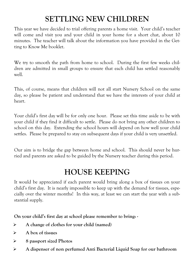# **SETTLING NEW CHILDREN**

This year we have decided to trial offering parents a home visit. Your child's teacher will come and visit you and your child in your home for a short chat, about 10 minutes. The teacher will talk about the information you have provided in the Getting to Know Me booklet.

We try to smooth the path from home to school. During the first few weeks children are admitted in small groups to ensure that each child has settled reasonably well.

This, of course, means that children will not all start Nursery School on the same day, so please be patient and understand that we have the interests of your child at heart.

Your child's first day will be for only one hour. Please set this time aside to be with your child if they find it difficult to settle. Please do not bring any other children to school on this day. Extending the school hours will depend on how well your child settles. Please be prepared to stay on subsequent days if your child is very unsettled.

Our aim is to bridge the gap between home and school. This should never be hurried and parents are asked to be guided by the Nursery teacher during this period.

## **HOUSE KEEPING**

It would be appreciated if each parent would bring along a box of tissues on your child's first day. It is nearly impossible to keep up with the demand for tissues, especially over the winter months! In this way, at least we can start the year with a substantial supply.

**On your child's first day at school please remember to bring: -** 

- **A change of clothes for your child (named)**
- **A box of tissues**
- **8 passport sized Photos**
- **A dispenser of non perfumed Anti Bacterial Liquid Soap for our bathroom**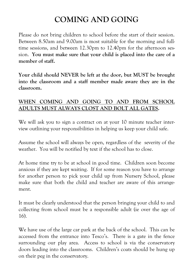## **COMING AND GOING**

Please do not bring children to school before the start of their session. Between 8.50am and 9.00am is most suitable for the morning and fulltime sessions, and between 12.30pm to 12.40pm for the afternoon session. **You must make sure that your child is placed into the care of a member of staff.** 

**Your child should NEVER be left at the door, but MUST be brought into the classroom and a staff member made aware they are in the classroom.** 

#### **WHEN COMING AND GOING TO AND FROM SCHOOL ADULTS MUST ALWAYS CLOST AND BOLT ALL GATES.**

We will ask you to sign a contract on at your 10 minute teacher interview outlining your responsibilities in helping us keep your child safe.

Assume the school will always be open, regardless of the severity of the weather. You will be notified by text if the school has to close.

At home time try to be at school in good time. Children soon become anxious if they are kept waiting. If for some reason you have to arrange for another person to pick your child up from Nursery School, please make sure that both the child and teacher are aware of this arrangement.

It must be clearly understood that the person bringing your child to and collecting from school must be a responsible adult (ie over the age of 16).

We have use of the large car park at the back of the school. This can be accessed from the entrance into Tesco's. There is a gate in the fence surrounding our play area. Access to school is via the conservatory doors leading into the classrooms. Children's coats should be hung up on their peg in the conservatory.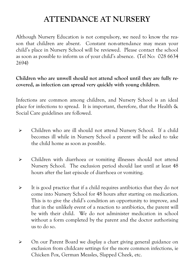### **ATTENDANCE AT NURSERY**

Although Nursery Education is not compulsory, we need to know the reason that children are absent. Constant non-attendance may mean your child's place in Nursery School will be reviewed. Please contact the school as soon as possible to inform us of your child's absence. (Tel No: 028 6634 2694)

#### **Children who are unwell should not attend school until they are fully recovered, as infection can spread very quickly with young children**.

Infections are common among children, and Nursery School is an ideal place for infections to spread. It is important, therefore, that the Health & Social Care guidelines are followed.

- Children who are ill should not attend Nursery School. If a child becomes ill while in Nursery School a parent will be asked to take the child home as soon as possible.
- Children with diarrhoea or vomiting illnesses should not attend Nursery School. The exclusion period should last until at least 48 hours after the last episode of diarrhoea or vomiting.
- $\triangleright$  It is good practice that if a child requires antibiotics that they do not come into Nursery School for 48 hours after starting on medication. This is to give the child's condition an opportunity to improve, and that in the unlikely event of a reaction to antibiotics, the parent will be with their child. We do not administer medication in school without a form completed by the parent and the doctor authorising us to do so.
- On our Parent Board we display a chart giving general guidance on exclusion from childcare settings for the more common infections, ie Chicken Pox, German Measles, Slapped Cheek, etc.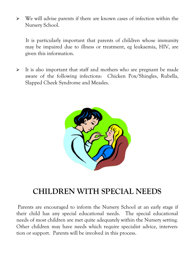$\triangleright$  We will advise parents if there are known cases of infection within the Nursery School.

It is particularly important that parents of children whose immunity may be impaired due to illness or treatment, eg leukaemia, HIV, are given this information.

 $\triangleright$  It is also important that staff and mothers who are pregnant be made aware of the following infections: Chicken Pox/Shingles, Rubella, Slapped Cheek Syndrome and Measles.



### **CHILDREN WITH SPECIAL NEEDS**

 Parents are encouraged to inform the Nursery School at an early stage if their child has any special educational needs. The special educational needs of most children are met quite adequately within the Nursery setting. Other children may have needs which require specialist advice, intervention or support. Parents will be involved in this process.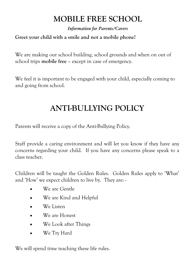# **MOBILE FREE SCHOOL**

*Information for Parents/Carers* 

#### **Greet your child with a smile and not a mobile phone!**

We are making our school building, school grounds and when on out of school trips **mobile free** – except in case of emergency.

We feel it is important to be engaged with your child, especially coming to and going from school.

# **ANTI-BULLYING POLICY**

Parents will receive a copy of the Anti-Bullying Policy.

Staff provide a caring environment and will let you know if they have any concerns regarding your child. If you have any concerns please speak to a class teacher.

Children will be taught the Golden Rules. Golden Rules apply to 'What' and 'How' we expect children to live by. They are: -

- We are Gentle
- We are Kind and Helpful
- We Listen
- We are Honest
- We Look after Things
- We Try Hard

We will spend time teaching these life rules.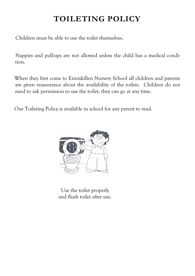# **TOILETING POLICY**

Children must be able to use the toilet themselves.

Nappies and pull-ups are not allowed unless the child has a medical condition.

When they first come to Enniskillen Nursery School all children and parents are given reassurance about the availability of the toilets. Children do not need to ask permission to use the toilet, they can go at any time.

Our Toileting Policy is available in school for any parent to read.

![](_page_14_Picture_5.jpeg)

Use the toilet properly and flush toilet after use.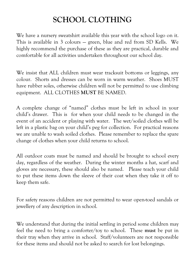## **SCHOOL CLOTHING**

We have a nursery sweatshirt available this year with the school logo on it. This is available in 3 colours — green, blue and red from SD Kells. We highly recommend the purchase of these as they are practical, durable and comfortable for all activities undertaken throughout our school day.

We insist that ALL children must wear tracksuit bottoms or leggings, any colour. Shorts and dresses can be worn in warm weather. Shoes MUST have rubber soles, otherwise children will not be permitted to use climbing equipment. ALL CLOTHES **MUST** BE NAMED.

A complete change of "named" clothes must be left in school in your child's drawer. This is for when your child needs to be changed in the event of an accident or playing with water. The wet/soiled clothes will be left in a plastic bag on your child's peg for collection. For practical reasons we are unable to wash soiled clothes. Please remember to replace the spare change of clothes when your child returns to school.

All outdoor coats must be named and should be brought to school every day, regardless of the weather. During the winter months a hat, scarf and gloves are necessary, these should also be named. Please teach your child to put these items down the sleeve of their coat when they take it off to keep them safe.

For safety reasons children are not permitted to wear open-toed sandals or jewellery of any description in school.

We understand that during the initial settling in period some children may feel the need to bring a comforter/toy to school. These **must** be put in their tray when they arrive in school. Staff/volunteers are not responsible for these items and should not be asked to search for lost belongings.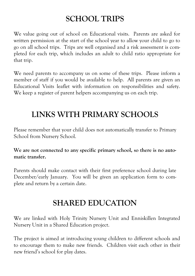### **SCHOOL TRIPS**

We value going out of school on Educational visits. Parents are asked for written permission at the start of the school year to allow your child to go to go on all school trips. Trips are well organised and a risk assessment is completed for each trip, which includes an adult to child ratio appropriate for that trip.

We need parents to accompany us on some of these trips. Please inform a member of staff if you would be available to help. All parents are given an Educational Visits leaflet with information on responsibilities and safety. We keep a register of parent helpers accompanying us on each trip.

## **LINKS WITH PRIMARY SCHOOLS**

Please remember that your child does not automatically transfer to Primary School from Nursery School.

**We are not connected to any specific primary school, so there is no automatic transfer.** 

Parents should make contact with their first preference school during late December/early January. You will be given an application form to complete and return by a certain date.

### **SHARED EDUCATION**

We are linked with Holy Trinity Nursery Unit and Enniskillen Integrated Nursery Unit in a Shared Education project.

The project is aimed at introducing young children to different schools and to encourage them to make new friends. Children visit each other in their new friend's school for play dates.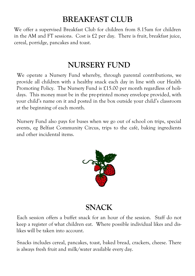### **BREAKFAST CLUB**

We offer a supervised Breakfast Club for children from 8.15am for children in the AM and FT sessions. Cost is £2 per day. There is fruit, breakfast juice, cereal, porridge, pancakes and toast.

#### **NURSERY FUND**

We operate a Nursery Fund whereby, through parental contributions, we provide all children with a healthy snack each day in line with our Health Promoting Policy. The Nursery Fund is £15.00 per month regardless of holidays. This money must be in the pre-printed money envelope provided, with your child's name on it and posted in the box outside your child's classroom at the beginning of each month.

Nursery Fund also pays for buses when we go out of school on trips, special events, eg Belfast Community Circus, trips to the café, baking ingredients and other incidental items.

![](_page_17_Picture_5.jpeg)

#### **SNACK**

Each session offers a buffet snack for an hour of the session. Staff do not keep a register of what children eat. Where possible individual likes and dislikes will be taken into account.

Snacks includes cereal, pancakes, toast, baked bread, crackers, cheese. There is always fresh fruit and milk/water available every day.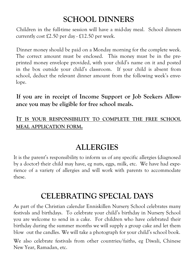#### **SCHOOL DINNERS**

Children in the full-time session will have a mid-day meal. School dinners currently cost £2.50 per day - £12.50 per week.

Dinner money should be paid on a Monday morning for the complete week. The correct amount must be enclosed. This money must be in the preprinted money envelope provided, with your child's name on it and posted in the box outside your child's classroom. If your child is absent from school, deduct the relevant dinner amount from the following week's envelope.

**If you are in receipt of Income Support or Job Seekers Allowance you may be eligible for free school meals.** 

#### **IT IS YOUR RESPONSIBILITY TO COMPLETE THE FREE SCHOOL MEAL APPLICATION FORM.**

### **ALLERGIES**

It is the parent's responsibility to inform us of any specific allergies (diagnosed by a doctor) their child may have, eg nuts, eggs, milk, etc. We have had experience of a variety of allergies and will work with parents to accommodate these.

#### **CELEBRATING SPECIAL DAYS**

As part of the Christian calendar Enniskillen Nursery School celebrates many festivals and birthdays. To celebrate your child's birthday in Nursery School you are welcome to send in a cake. For children who have celebrated their birthday during the summer months we will supply a group cake and let them blow out the candles. We will take a photograph for your child's school book.

We also celebrate festivals from other countries/faiths, eg Diwali, Chinese New Year, Ramadan, etc.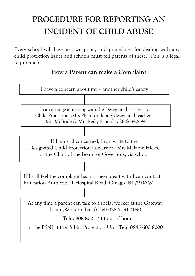# **PROCEDURE FOR REPORTING AN INCIDENT OF CHILD ABUSE**

Every school will have its own policy and procedures for dealing with any child protection issues and schools must tell parents of these. This is a legal requirement.

#### **How a Parent can make a Complaint**

![](_page_19_Figure_3.jpeg)